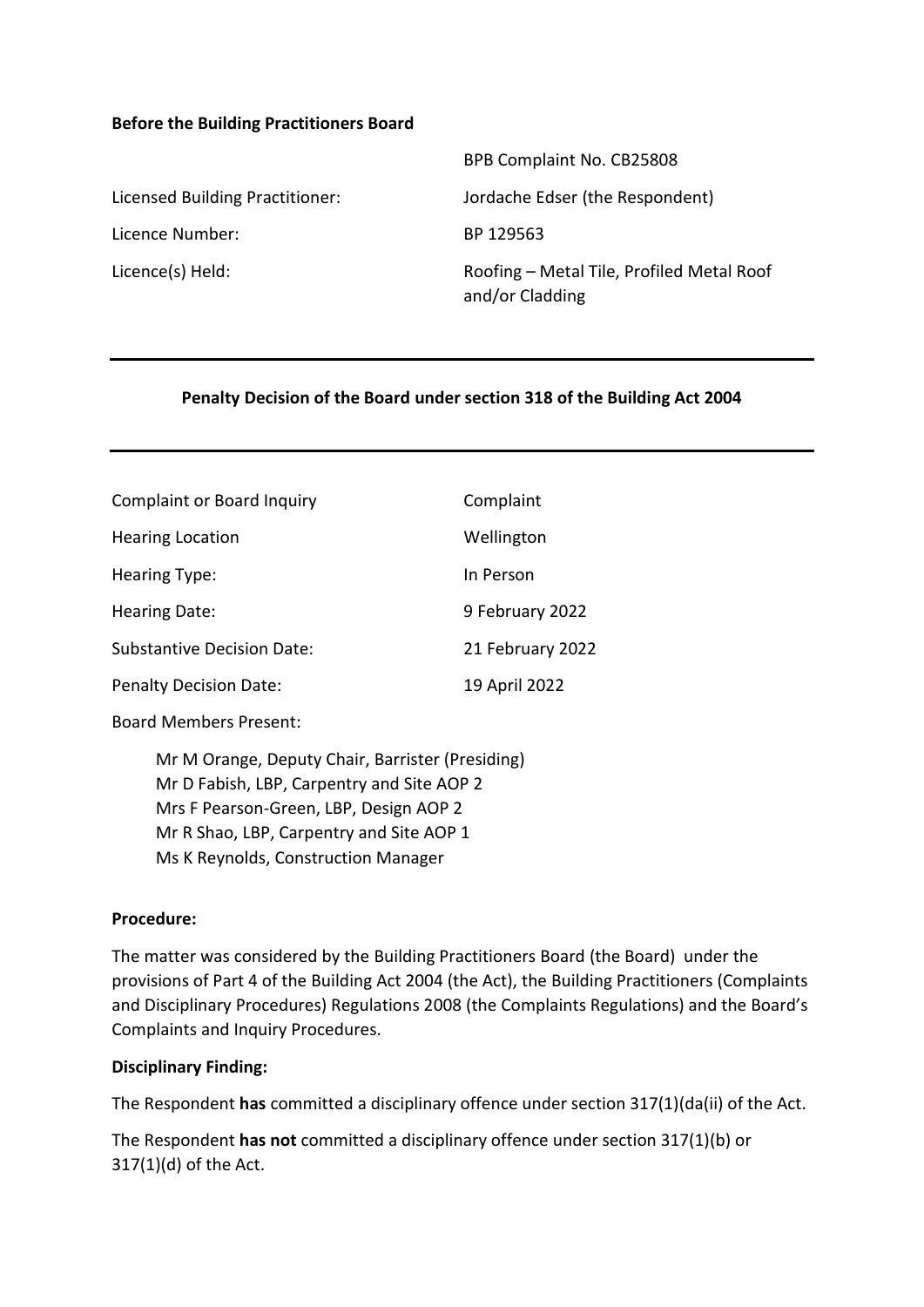#### **Before the Building Practitioners Board**

|                                 | BPB Complaint No. CB25808                                    |
|---------------------------------|--------------------------------------------------------------|
| Licensed Building Practitioner: | Jordache Edser (the Respondent)                              |
| Licence Number:                 | BP 129563                                                    |
| Licence(s) Held:                | Roofing – Metal Tile, Profiled Metal Roof<br>and/or Cladding |

#### **Penalty Decision of the Board under section 318 of the Building Act 2004**

| <b>Complaint or Board Inquiry</b> | Complaint        |
|-----------------------------------|------------------|
| <b>Hearing Location</b>           | Wellington       |
| Hearing Type:                     | In Person        |
| Hearing Date:                     | 9 February 2022  |
| <b>Substantive Decision Date:</b> | 21 February 2022 |
| <b>Penalty Decision Date:</b>     | 19 April 2022    |

Board Members Present:

Mr M Orange, Deputy Chair, Barrister (Presiding) Mr D Fabish, LBP, Carpentry and Site AOP 2 Mrs F Pearson-Green, LBP, Design AOP 2 Mr R Shao, LBP, Carpentry and Site AOP 1 Ms K Reynolds, Construction Manager

#### **Procedure:**

The matter was considered by the Building Practitioners Board (the Board) under the provisions of Part 4 of the Building Act 2004 (the Act), the Building Practitioners (Complaints and Disciplinary Procedures) Regulations 2008 (the Complaints Regulations) and the Board's Complaints and Inquiry Procedures.

### **Disciplinary Finding:**

The Respondent **has** committed a disciplinary offence under section 317(1)(da(ii) of the Act.

The Respondent **has not** committed a disciplinary offence under section 317(1)(b) or 317(1)(d) of the Act.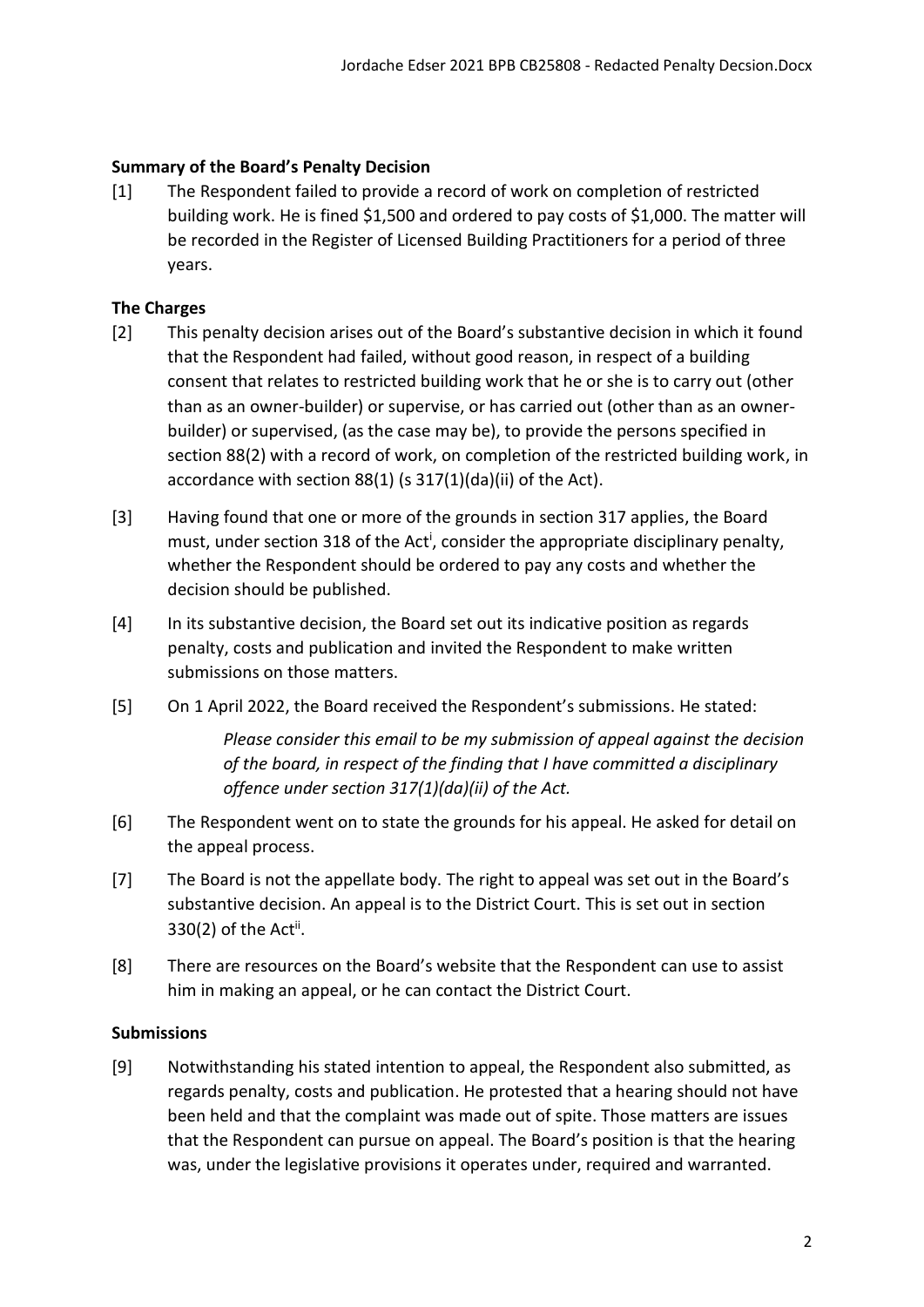# **Summary of the Board's Penalty Decision**

[1] The Respondent failed to provide a record of work on completion of restricted building work. He is fined \$1,500 and ordered to pay costs of \$1,000. The matter will be recorded in the Register of Licensed Building Practitioners for a period of three years.

# **The Charges**

- [2] This penalty decision arises out of the Board's substantive decision in which it found that the Respondent had failed, without good reason, in respect of a building consent that relates to restricted building work that he or she is to carry out (other than as an owner-builder) or supervise, or has carried out (other than as an ownerbuilder) or supervised, (as the case may be), to provide the persons specified in section 88(2) with a record of work, on completion of the restricted building work, in accordance with section 88(1) (s 317(1)(da)(ii) of the Act).
- [3] Having found that one or more of the grounds in section 317 applies, the Board must, under section 318 of the Act<sup>i</sup>, consider the appropriate disciplinary penalty, whether the Respondent should be ordered to pay any costs and whether the decision should be published.
- [4] In its substantive decision, the Board set out its indicative position as regards penalty, costs and publication and invited the Respondent to make written submissions on those matters.
- [5] On 1 April 2022, the Board received the Respondent's submissions. He stated:

*Please consider this email to be my submission of appeal against the decision of the board, in respect of the finding that I have committed a disciplinary offence under section 317(1)(da)(ii) of the Act.* 

- [6] The Respondent went on to state the grounds for his appeal. He asked for detail on the appeal process.
- [7] The Board is not the appellate body. The right to appeal was set out in the Board's substantive decision. An appeal is to the District Court. This is set out in section  $330(2)$  of the Act<sup>ii</sup>.
- [8] There are resources on the Board's website that the Respondent can use to assist him in making an appeal, or he can contact the District Court.

### **Submissions**

[9] Notwithstanding his stated intention to appeal, the Respondent also submitted, as regards penalty, costs and publication. He protested that a hearing should not have been held and that the complaint was made out of spite. Those matters are issues that the Respondent can pursue on appeal. The Board's position is that the hearing was, under the legislative provisions it operates under, required and warranted.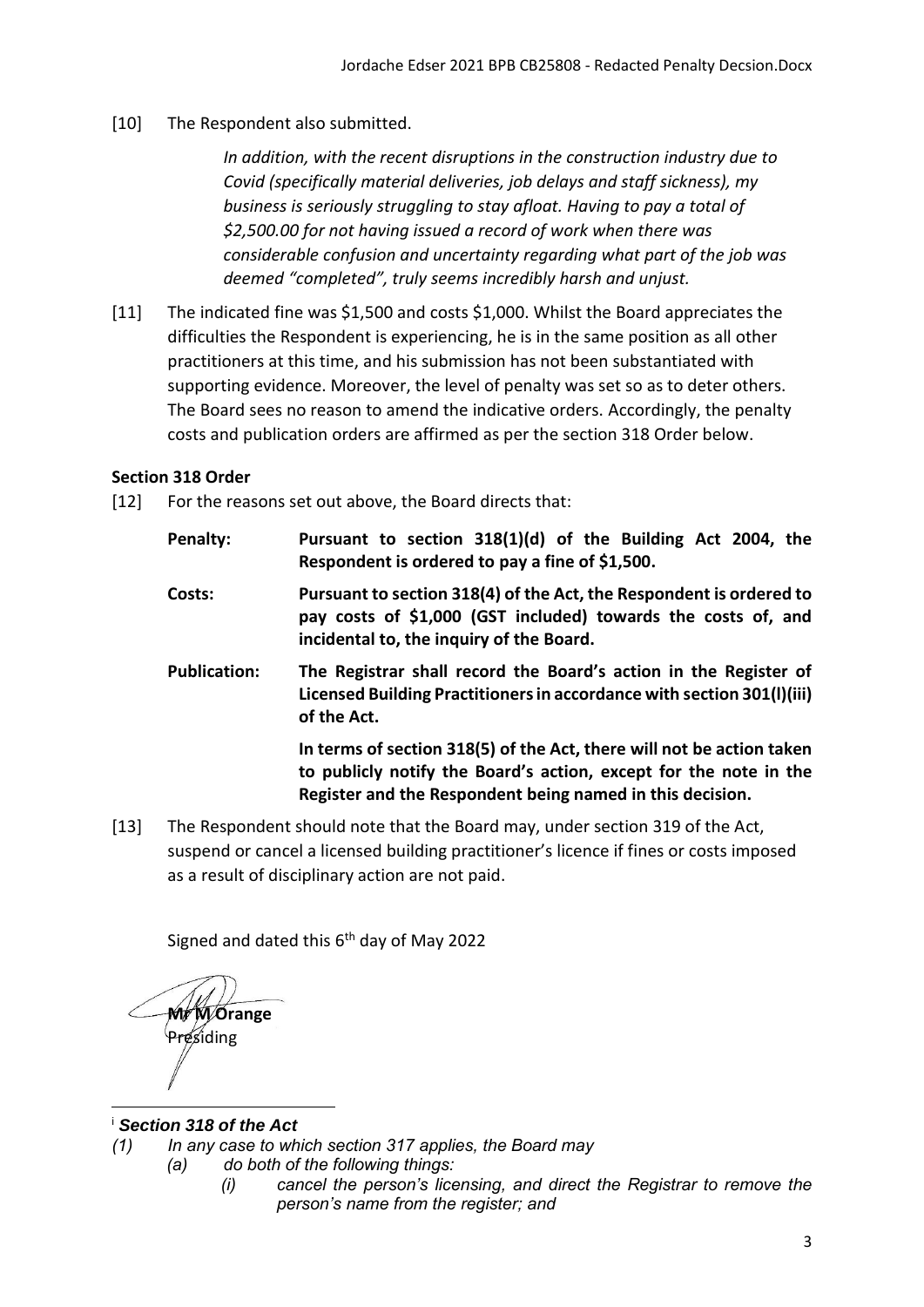# [10] The Respondent also submitted.

*In addition, with the recent disruptions in the construction industry due to Covid (specifically material deliveries, job delays and staff sickness), my business is seriously struggling to stay afloat. Having to pay a total of \$2,500.00 for not having issued a record of work when there was considerable confusion and uncertainty regarding what part of the job was deemed "completed", truly seems incredibly harsh and unjust.*

[11] The indicated fine was \$1,500 and costs \$1,000. Whilst the Board appreciates the difficulties the Respondent is experiencing, he is in the same position as all other practitioners at this time, and his submission has not been substantiated with supporting evidence. Moreover, the level of penalty was set so as to deter others. The Board sees no reason to amend the indicative orders. Accordingly, the penalty costs and publication orders are affirmed as per the section 318 Order below.

### **Section 318 Order**

- [12] For the reasons set out above, the Board directs that:
	- **Penalty: Pursuant to section 318(1)(d) of the Building Act 2004, the Respondent is ordered to pay a fine of \$1,500.**
	- **Costs: Pursuant to section 318(4) of the Act, the Respondent is ordered to pay costs of \$1,000 (GST included) towards the costs of, and incidental to, the inquiry of the Board.**
	- **Publication: The Registrar shall record the Board's action in the Register of Licensed Building Practitioners in accordance with section 301(l)(iii) of the Act.**

**In terms of section 318(5) of the Act, there will not be action taken to publicly notify the Board's action, except for the note in the Register and the Respondent being named in this decision.**

[13] The Respondent should note that the Board may, under section 319 of the Act, suspend or cancel a licensed building practitioner's licence if fines or costs imposed as a result of disciplinary action are not paid.

Signed and dated this 6<sup>th</sup> day of May 2022

**Mr M Orange**  Presiding

# <sup>i</sup> *Section 318 of the Act*

- *(1) In any case to which section 317 applies, the Board may*
	- *(a) do both of the following things:*
		- *(i) cancel the person's licensing, and direct the Registrar to remove the person's name from the register; and*